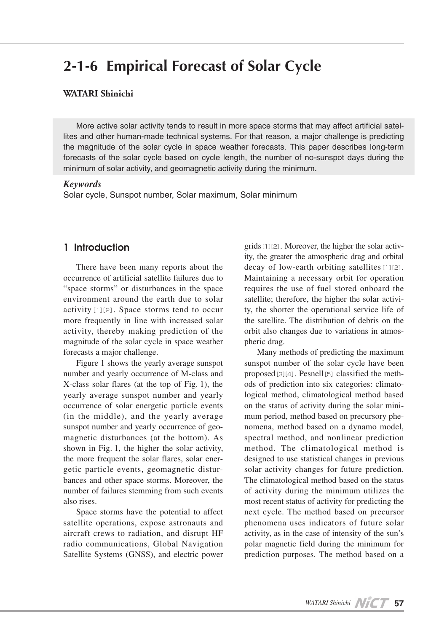# **2-1-6 Empirical Forecast of Solar Cycle**

#### **WATARI** Shinichi

lites and other human-made technical systems. For that reason, a major challenge is predicting More active solar activity tends to result in more space storms that may affect artificial satelthe magnitude of the solar cycle in space weather forecasts. This paper describes long-term forecasts of the solar cycle based on cycle length, the number of no-sunspot days during the minimum of solar activity, and geomagnetic activity during the minimum.

#### *Keywords*

Solar cycle, Sunspot number, Solar maximum, Solar minimum

## Introduction 1

There have been many reports about the occurrence of artificial satellite failures due to "space storms" or disturbances in the space environment around the earth due to solar  $\arcsin$ [1][2]. Space storms tend to occur more frequently in line with increased solar activity, thereby making prediction of the magnitude of the solar cycle in space weather forecasts a major challenge.

Figure 1 shows the yearly average sunspot number and yearly occurrence of M-class and  $X$ -class solar flares (at the top of Fig. 1), the yearly average sunspot number and yearly occurrence of solar energetic particle events  $(in the middle)$ , and the yearly average magnetic disturbances (at the bottom). As sunspot number and yearly occurrence of geoshown in Fig. 1, the higher the solar activity, bances and other space storms. Moreover, the getic particle events, geomagnetic disturthe more frequent the solar flares, solar enernumber of failures stemming from such events also rises.

Space storms have the potential to affect satellite operations, expose astronauts and aircraft crews to radiation, and disrupt HF radio communications, Global Navigation Satellite Systems (GNSS), and electric power ity, the greater the atmospheric drag and orbital grids  $[1][2]$ . Moreover, the higher the solar activdecay of low-earth orbiting satellites  $[1][2]$ . Maintaining a necessary orbit for operation requires the use of fuel stored onboard the satellite; therefore, the higher the solar activity, the shorter the operational service life of the satellite. The distribution of debris on the orbit also changes due to variations in atmos-<br>pheric-drag.

Many methods of predicting the maximum sunspot number of the solar cycle have been logical method, climatological method based ods of prediction into six categories: climatoproposed [3][4]. Pesnell [5] classified the methmum period, method based on precursory phenomena, method based on a dynamo model, on the status of activity during the solar mini-<br>mum period, method based on precursory phespectral method, and nonlinear prediction method. The climatological method is designed to use statistical changes in previous solar activity changes for future prediction. The climatological method based on the status of activity during the minimum utilizes the most recent status of activity for predicting the next cycle. The method based on precursor phenomena uses indicators of future solar activity, as in the case of intensity of the sun's polar magnetic field during the minimum for prediction purposes. The method based on a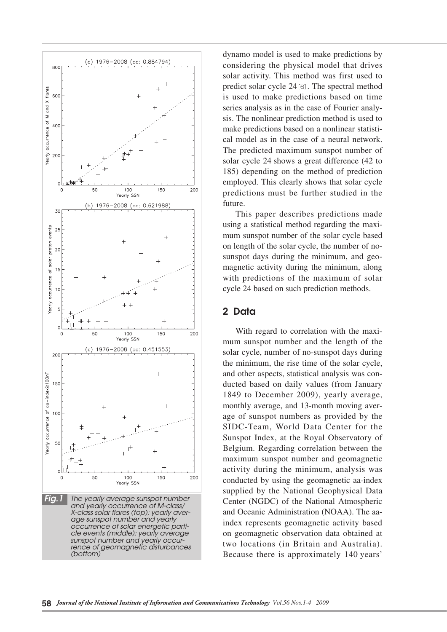

dynamo model is used to make predictions by considering the physical model that drives solar activity. This method was first used to predict solar cycle  $24$  [6]. The spectral method is used to make predictions based on time sis. The nonlinear prediction method is used to series analysis as in the case of Fourier analycal model as in the case of a neural network. make predictions based on a nonlinear statisti-The predicted maximum sunspot number of solar cycle 24 shows a great difference  $(42 \text{ to }$ 185) depending on the method of prediction employed. This clearly shows that solar cycle predictions must be further studied in the future.

This paper describes predictions made using a statistical method regarding the maxi-<br>mum sunspot number of the solar cycle based sunspot days during the minimum, and geo-<br>magnetic activity during the minimum, along on length of the solar cycle, the number of no-<br>sunspot-days during the minimum, and geoon length of the solar cycle, the number of nowith predictions of the maximum of solar cycle 24 based on such prediction methods.

## 2 Data

mum sunspot number and the length of the With regard to correlation with the maxisolar cycle, number of no-sunspot days during the minimum, the rise time of the solar cycle, and other aspects, statistical analysis was con-<br>ducted-based on daily values (from January 1849 to December 2009), yearly average, monthly average, and 13-month moving average of sunspot numbers as provided by the SIDC-Team, World Data Center for the Sunspot Index, at the Royal Observatory of Belgium. Regarding correlation between the maximum sunspot number and geomagnetic activity during the minimum, analysis was conducted by using the geomagnetic aa-index supplied by the National Geophysical Data Center (NGDC) of the National Atmospheric and Oceanic Administration (NOAA). The aa-<br>index represents geomagnetic activity based on geomagnetic observation data obtained at two locations (in Britain and Australia). Because there is approximately 140 years'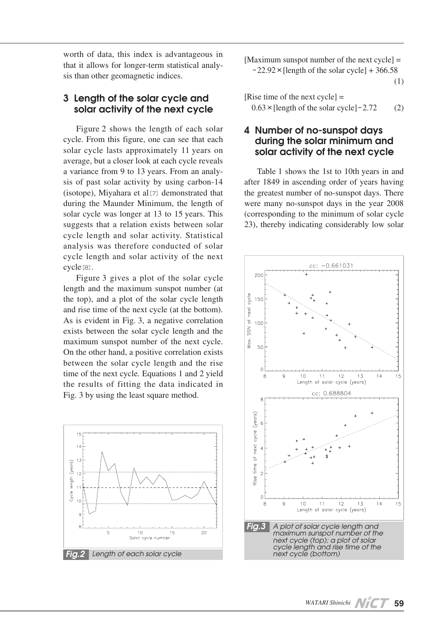worth of data, this index is advantageous in that it allows for longer-term statistical analy-<br>sis than other geomagnetic indices.

## 3 Length of the solar cycle and solar activity of the next cycle

Figure 2 shows the length of each solar cycle. From this figure, one can see that each solar cycle lasts approximately 11 years on average, but a closer look at each cycle reveals sis of past solar activity by using carbon-14 a variance from 9 to 13 years. From an analy-(isotope), Miyahara et al [7] demonstrated that during the Maunder Minimum, the length of solar cycle was longer at 13 to 15 years. This suggests that a relation exists between solar cycle length and solar activity. Statistical analysis was therefore conducted of solar cycle length and solar activity of the next cycle<sup>[8]</sup>.

Figure 3 gives a plot of the solar cycle length and the maximum sunspot number (at the top), and a plot of the solar cycle length and rise time of the next cycle (at the bottom). As is evident in Fig. 3, a negative correlation exists between the solar cycle length and the maximum sunspot number of the next cycle. On the other hand, a positive correlation exists between the solar cycle length and the rise time of the next cycle. Equations  $1$  and  $2$  yield the results of fitting the data indicated in Fig. 3 by using the least square method.



[Maximum sunspot number of the next cycle]  $=$  $-22.92 \times$  [length of the solar cycle] + 366.58 (1)

| [Rise time of the next cycle] $=$                |     |
|--------------------------------------------------|-----|
| $0.63 \times$ [length of the solar cycle] - 2.72 | (2) |

## 4 Number of no-sunspot days during the solar minimum and solar activity of the next cycle

Table 1 shows the 1st to 10th years in and after 1849 in ascending order of years having the greatest number of no-sunspot days. There were many no-sunspot days in the year 2008 (corresponding to the minimum of solar cycle 23), thereby indicating considerably low solar

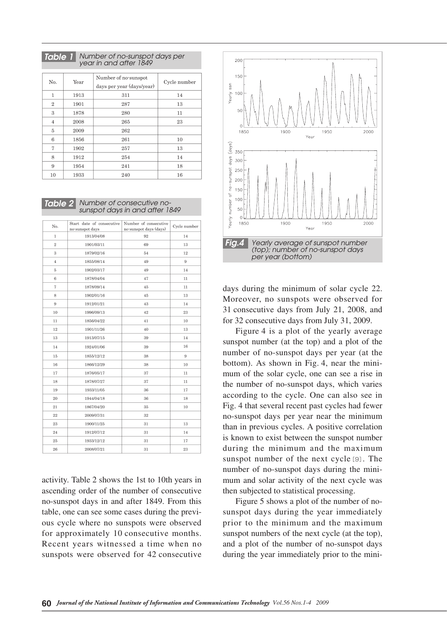*per days are viewed in a Table 1 Number of no-sunspot days per vear in and after 1849* 

| N <sub>0</sub> | Year | Number of no-sunspot<br>days per year (days/year) | Cycle number |
|----------------|------|---------------------------------------------------|--------------|
| $\mathbf{1}$   | 1913 | 311                                               | 14           |
| $\overline{2}$ | 1901 | 287                                               | 13           |
| 3              | 1878 | 280                                               | 11           |
| 4              | 2008 | 265                                               | 23           |
| 5              | 2009 | 262                                               |              |
| 6              | 1856 | 261                                               | 10           |
| 7              | 1902 | 257                                               | 13           |
| 8              | 1912 | 254                                               | 14           |
| 9              | 1954 | 241                                               | 18           |
| 10             | 1933 | 240                                               | 16           |

sunspot days in and after 1849 *Table 2* Number of consecutive no-

| No.            | Start date of consecutive<br>no-sunspot days | Number of consecutive<br>no-sunspot days (days) | Cycle number |
|----------------|----------------------------------------------|-------------------------------------------------|--------------|
| $\mathbf{1}$   | 1913/04/08                                   | 92                                              | 14           |
| $\,2$          | 1901/03/11                                   | 69                                              | 13           |
| 3              | 1879/02/16                                   | 54                                              | 12           |
| $\overline{4}$ | 1855/08/14                                   | 49                                              | 9            |
| $5\,$          | 1902/03/17                                   | 49                                              | 14           |
| $\,$ 6         | 1878/04/04                                   | 47                                              | 11           |
| $\overline{7}$ | 1878/09/14                                   | 45                                              | 11           |
| 8              | 1902/01/16                                   | 45                                              | 13           |
| 9              | 1912/01/21                                   | 43                                              | 14           |
| 10             | 1996/09/13                                   | 42                                              | 23           |
| 11             | 1856/04/22                                   | 41                                              | 10           |
| 12             | 1901/11/26                                   | 40                                              | 13           |
| 13             | 1913/07/15                                   | 39                                              | 14           |
| 14             | 1924/01/06                                   | 39                                              | 16           |
| 15             | 1855/12/12                                   | 38                                              | 9            |
| 16             | 1866/12/29                                   | 38                                              | 10           |
| 17             | 1876/05/17                                   | 37                                              | 11           |
| 18             | 1878/07/27                                   | 37                                              | 11           |
| 19             | 1933/11/05                                   | 36                                              | 17           |
| 20             | 1944/04/18                                   | 36                                              | 18           |
| 21             | 1867/04/20                                   | 35                                              | $10\,$       |
| 22             | 2009/07/31                                   | 32                                              |              |
| 23             | 1900/11/25                                   | 31                                              | 13           |
| 24             | 1912/07/12                                   | 31                                              | 14           |
| 25             | 1933/12/12                                   | 31                                              | 17           |
| 26             | 2008/07/21                                   | 31                                              | 23           |

activity. Table 2 shows the 1st to 10th years in ascending order of the number of consecutive no-sunspot days in and after 1849. From this table, one can see some cases during the previ-<br>ous-cycle where no sunspots were observed for approximately 10 consecutive months. Recent years witnessed a time when no sunspots were observed for 42 consecutive



days during the minimum of solar cycle 22. Moreover, no sunspots were observed for 31 consecutive days from July 21, 2008, and for 32 consecutive days from July 31, 2009.

Figure 4 is a plot of the yearly average sunspot number (at the top) and a plot of the number of no-sunspot days per year (at the bottom). As shown in Fig. 4, near the mini-<br>mum of the solar cycle, one can see a rise in the number of no-sunspot days, which varies according to the cycle. One can also see in Fig. 4 that several recent past cycles had fewer no-sunspot days per year near the minimum than in previous cycles. A positive correlation is known to exist between the sunspot number during the minimum and the maximum sunspot number of the next cycle [9]. The mum and solar activity of the next cycle was number of no-sunspot days during the minithen subjected to statistical processing.

sunspot days during the year immediately Figure 5 shows a plot of the number of noprior to the minimum and the maximum sunspot numbers of the next cycle (at the top), and a plot of the number of no-sunspot days during the year immediately prior to the mini-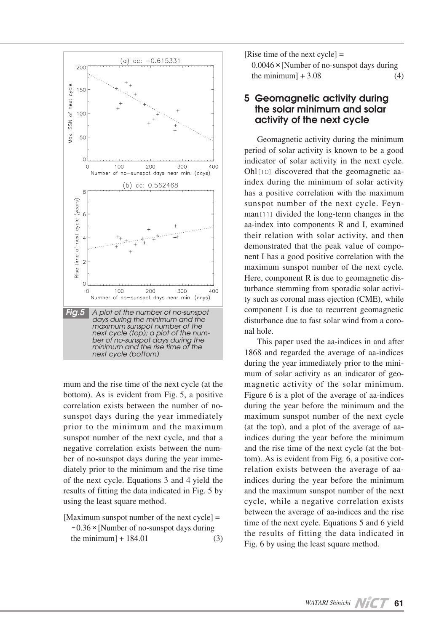

mum and the rise time of the next cycle (at the bottom). As is evident from Fig. 5, a positive sunspot days during the year immediately correlation exists between the number of noprior to the minimum and the maximum sunspot number of the next cycle, and that a ber of no-sunspot days during the year imme-<br>diately prior to the minimum and the rise time negative correlation exists between the num-<br>ber of no-sunspot days during the year immenegative correlation exists between the numof the next cycle. Equations  $3$  and  $4$  yield the results of fitting the data indicated in Fig. 5 by using the least square method.

[Maximum sunspot number of the next cycle]  $=$  $-0.36 \times$ [Number of no-sunspot days during  $\text{the minimum} + 184.01$  (3) [Rise time of the next cycle]  $=$ 

 $0.0046 \times$ [Number of no-sunspot days during  $\{4\}$  the minimum  $+3.08$  (4)

#### 5 Geomagnetic activity during the solar minimum and solar activity of the next cycle

Geomagnetic activity during the minimum period of solar activity is known to be a good indicator of solar activity in the next cycle. Ohl $[10]$  discovered that the geomagnetic aa-<br>index-during the minimum of solar activity has a positive correlation with the maximum sunspot number of the next cycle. Feyn-<br>man<sup>[11]</sup> divided the long-term changes in the aa-index into components  $R$  and  $I$ , examined their relation with solar activity, and then nent I has a good positive correlation with the demonstrated that the peak value of compomaximum sunspot number of the next cycle. turbance stemming from sporadic solar activity such as coronal mass ejection (CME), while Here, component R is due to geomagnetic disturbance stemming from sporadic solar activicomponent I is due to recurrent geomagnetic disturbance due to fast solar wind from a coro-<br>nal-hole.

This paper used the aa-indices in and after 1868 and regarded the average of aa-indices mum of solar activity as an indicator of geo-<br>magnetic activity of the solar minimum. during the year immediately prior to the mini-<br>mum of solar activity as an indicator of geo-Figure 6 is a plot of the average of aa-indices during the year before the minimum and the maximum sunspot number of the next cycle indices during the year before the minimum (at the top), and a plot of the average of aarelation exists between the average of aa-<br>indices during the year before the minimum tom). As is evident from Fig. 6, a positive cor-<br>relation exists between the average of aaand the rise time of the next cycle (at the bottom). As is evident from Fig. 6, a positive corand the rise time of the next cycle (at the botand the maximum sunspot number of the next cycle, while a negative correlation exists between the average of aa-indices and the rise time of the next cycle. Equations  $5$  and  $6$  yield the results of fitting the data indicated in Fig. 6 by using the least square method.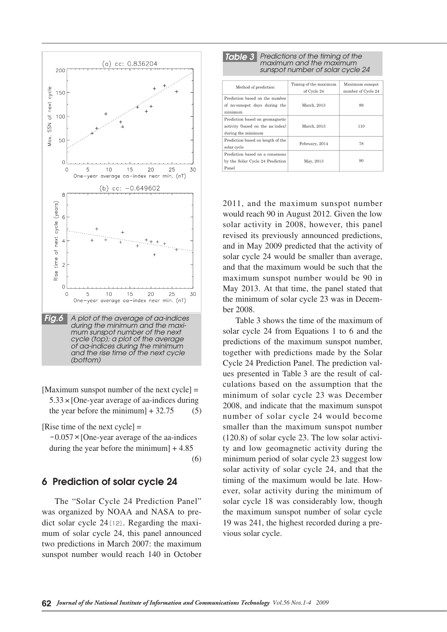

[Maximum sunspot number of the next cycle]  $=$  $5.33 \times$  [One-year average of aa-indices during the year before the minimum  $+ 32.75$  (5)

[Rise time of the next cycle]  $=$ 

 $-0.057 \times$  [One-year average of the aa-indices during the vear before the minimum  $+4.85$ 

(6)

#### 6 Prediction of solar cycle 24

The "Solar Cycle 24 Prediction Panel" mum of solar cycle 24, this panel announced dict solar cycle  $24$  [12]. Regarding the maxiwas organized by NOAA and NASA to pretwo predictions in March 2007: the maximum sunspot number would reach 140 in October

| <b>Table 3</b> Predictions of the timing of the                                           | maximum and the maximum<br>sunspot number of solar cycle 24 |                    |
|-------------------------------------------------------------------------------------------|-------------------------------------------------------------|--------------------|
| Method of prediction                                                                      | Timing of the maximum                                       | Maximum sunspot    |
|                                                                                           | of Cycle 24                                                 | number of Cycle 24 |
| Prediction based on the number<br>of no-sunspot days during the<br>minimum                | March, 2013                                                 | 89                 |
| Prediction based on geomagnetic<br>activity (based on the aa-index)<br>during the minimum | March, 2013                                                 | 110                |
| Prediction based on length of the<br>solar cycle                                          | February, 2014                                              | 78                 |
| Prediction based on a consensus<br>by the Solar Cycle 24 Prediction<br>Panel              | May, 2013                                                   | 90                 |

2011, and the maximum sunspot number would reach 90 in August 2012. Given the low solar activity in 2008, however, this panel revised its previously announced predictions. and in May 2009 predicted that the activity of solar cycle 24 would be smaller than average, and that the maximum would be such that the maximum sunspot number would be 90 in May 2013. At that time, the panel stated that the minimum of solar cycle 23 was in December 2008.

Table 3 shows the time of the maximum of solar cycle 24 from Equations 1 to 6 and the predictions of the maximum sunspot number, together with predictions made by the Solar the that assumption that the culations based on the assumption that the Cycle 24 Prediction Panel. The prediction values presented in Table 3 are the result of calminimum of solar cycle 23 was December 2008, and indicate that the maximum sunspot number of solar cycle 24 would become smaller than the maximum sunspot number  $(120.8)$  of solar cycle 23. The low solar activity and low geomagnetic activity during the minimum period of solar cycle 23 suggest low solar activity of solar cycle 24, and that the timing of the maximum would be late. How-<br>ever, solar activity during the minimum of solar cycle 18 was considerably low, though the maximum sunspot number of solar cycle 19 was 241, the highest recorded during a previous solar cycle.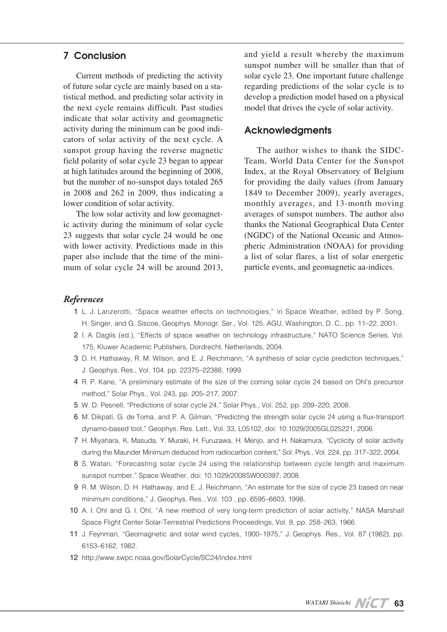## Conclusion 7

Current methods of predicting the activity tistical method, and predicting solar activity in of future solar cycle are mainly based on a stathe next cycle remains difficult. Past studies indicate that solar activity and geomagnetic cators of solar activity of the next cycle. A activity during the minimum can be good indisunspot group having the reverse magnetic field polarity of solar cycle 23 began to appear at high latitudes around the beginning of 2008, but the number of no-sunspot days totaled 265 in 2008 and 262 in 2009, thus indicating a lower condition of solar activity.

ic activity during the minimum of solar cycle The low solar activity and low geomagnet-23 suggests that solar cycle 24 would be one with lower activity. Predictions made in this paper also include that the time of the mini-<br>mum of solar cycle 24 will be around 2013,

and yield a result whereby the maximum sunspot number will be smaller than that of solar cycle 23. One important future challenge regarding predictions of the solar cycle is to develop a prediction model based on a physical model that drives the cycle of solar activity.

#### Acknowledgments

Team, World Data Center for the Sunspot The author wishes to thank the SIDC-Index, at the Royal Observatory of Belgium for providing the daily values (from January 1849 to December 2009), yearly averages, monthly averages, and 13-month moving averages of sunspot numbers. The author also thanks the National Geographical Data Center pheric Administration (NOAA) for providing (NGDC) of the National Oceanic and Atmosa list of solar flares, a list of solar energetic particle events, and geomagnetic aa-indices.

#### *References*

- 1 L. J. Lanzerotti, "Space weather effects on technologies," in Space Weather, edited by P. Song, H. Singer, and G. Siscoe, Geophys. Monogr. Ser., Vol. 125, AGU, Washington, D. C., pp. 11-22, 2001.
- 2 I. A. Daglis (ed.), "Effects of space weather on technology infrastructure," NATO Science Series, Vol. 175, Kluwer Academic Publishers, Dordrecht, Netherlands, 2004.
- 3 D. H. Hathaway, R. M. Wilson, and E. J. Reichmann, "A synthesis of solar cycle prediction techniques," J. Geophys. Res., Vol. 104, pp. 22375-22388, 1999.
- 4 R. P. Kane, "A preliminary estimate of the size of the coming solar cycle 24 based on Ohl's precursor method," Solar Phys., Vol. 243, pp. 205-217, 2007.
- 5 W. D. Pesnell, "Predictions of solar cycle 24," Solar Phys., Vol. 252, pp. 209-220, 2008.
- 6 M. Dikpati, G. de Toma, and P. A. Gilman, "Predicting the strength solar cycle 24 using a flux-transport dynamo-based tool," Geophys. Res. Lett., Vol. 33, L05102, doi: 10.1029/2005GL025221, 2006.
- 7 H. Miyahara, K. Masuda, Y. Muraki, H. Furuzawa, H. Menjo, and H. Nakamura, "Cyclicity of solar activity during the Maunder Minimum deduced from radiocarbon content," Sol. Phys., Vol. 224, pp. 317-322, 2004.
- 8 S. Watari, "Forecasting solar cycle 24 using the relationship between cycle length and maximum sunspot number," Space Weather, doi: 10.1029/2008 SW000397, 2008.
- 9 R. M. Wilson, D. H. Hathaway, and E. J. Reichmann, "An estimate for the size of cycle 23 based on near minimum conditions," J. Geophys. Res., Vol. 103, pp. 6595-6603, 1998.
- 10 A. I. Ohl and G. I. Ohl, "A new method of very long-term prediction of solar activity," NASA Marshall Space Flight Center Solar-Terrestrial Predictions Proceedings, Vol. 9, pp. 258–263, 1966.
- 11 J. Feynman, "Geomagnetic and solar wind cycles, 1900–1975," J. Geophys. Res., Vol. 87 (1982), pp. 6153-6162, 1982.
- 12 http://www.swpc.noaa.gov/SolarCycle/SC24/index.html